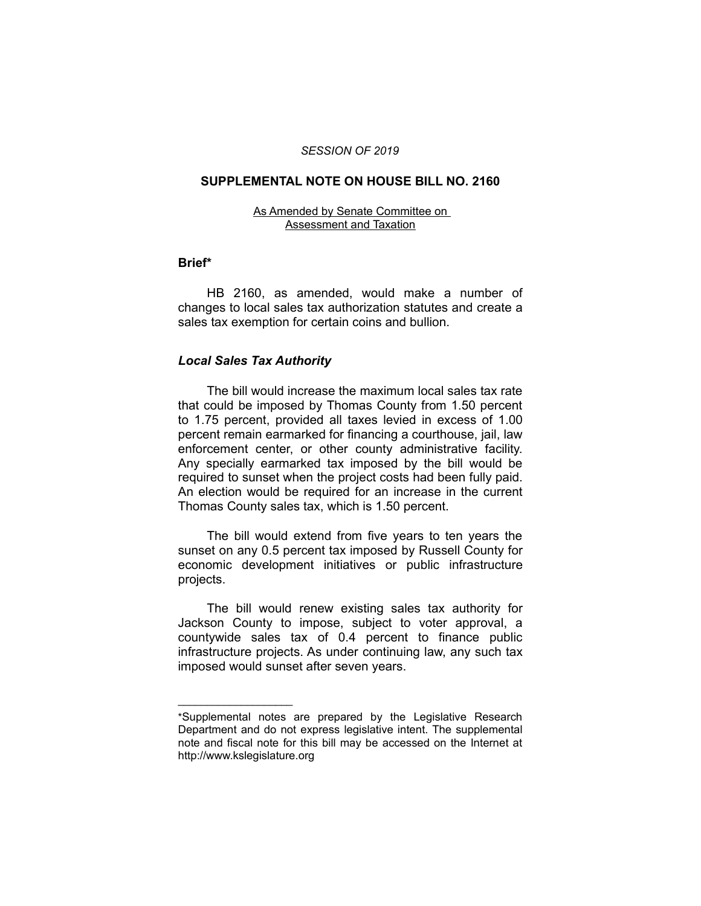#### *SESSION OF 2019*

## **SUPPLEMENTAL NOTE ON HOUSE BILL NO. 2160**

#### As Amended by Senate Committee on Assessment and Taxation

### **Brief\***

HB 2160, as amended, would make a number of changes to local sales tax authorization statutes and create a sales tax exemption for certain coins and bullion.

## *Local Sales Tax Authority*

 $\overline{\phantom{a}}$  , where  $\overline{\phantom{a}}$  , where  $\overline{\phantom{a}}$ 

The bill would increase the maximum local sales tax rate that could be imposed by Thomas County from 1.50 percent to 1.75 percent, provided all taxes levied in excess of 1.00 percent remain earmarked for financing a courthouse, jail, law enforcement center, or other county administrative facility. Any specially earmarked tax imposed by the bill would be required to sunset when the project costs had been fully paid. An election would be required for an increase in the current Thomas County sales tax, which is 1.50 percent.

The bill would extend from five years to ten years the sunset on any 0.5 percent tax imposed by Russell County for economic development initiatives or public infrastructure projects.

The bill would renew existing sales tax authority for Jackson County to impose, subject to voter approval, a countywide sales tax of 0.4 percent to finance public infrastructure projects. As under continuing law, any such tax imposed would sunset after seven years.

<sup>\*</sup>Supplemental notes are prepared by the Legislative Research Department and do not express legislative intent. The supplemental note and fiscal note for this bill may be accessed on the Internet at http://www.kslegislature.org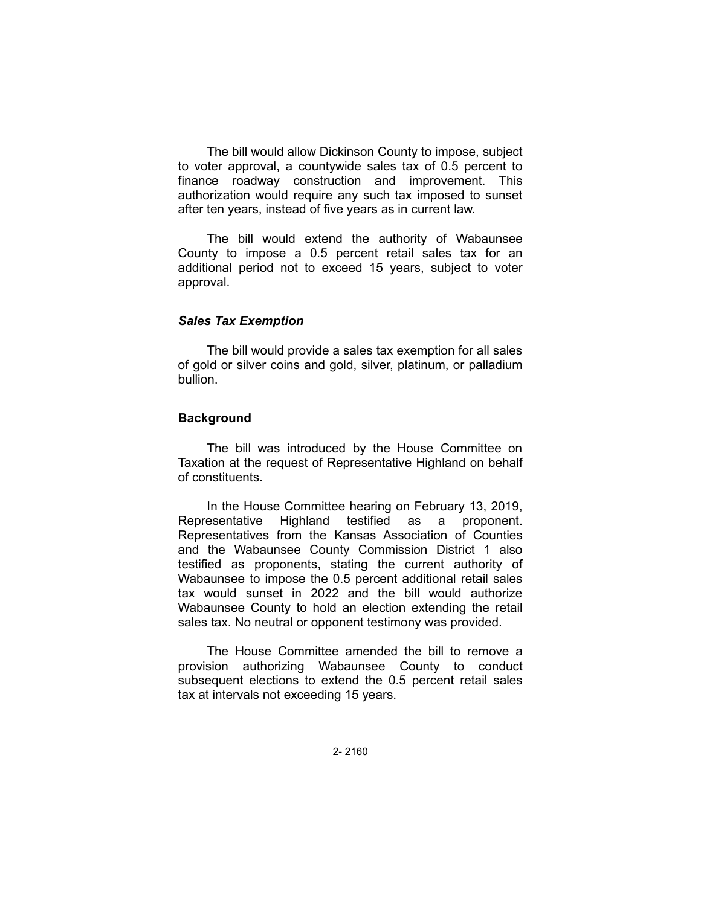The bill would allow Dickinson County to impose, subject to voter approval, a countywide sales tax of 0.5 percent to finance roadway construction and improvement. This authorization would require any such tax imposed to sunset after ten years, instead of five years as in current law.

The bill would extend the authority of Wabaunsee County to impose a 0.5 percent retail sales tax for an additional period not to exceed 15 years, subject to voter approval.

## *Sales Tax Exemption*

The bill would provide a sales tax exemption for all sales of gold or silver coins and gold, silver, platinum, or palladium bullion.

#### **Background**

The bill was introduced by the House Committee on Taxation at the request of Representative Highland on behalf of constituents.

In the House Committee hearing on February 13, 2019, Representative Highland testified as a proponent. Representatives from the Kansas Association of Counties and the Wabaunsee County Commission District 1 also testified as proponents, stating the current authority of Wabaunsee to impose the 0.5 percent additional retail sales tax would sunset in 2022 and the bill would authorize Wabaunsee County to hold an election extending the retail sales tax. No neutral or opponent testimony was provided.

The House Committee amended the bill to remove a provision authorizing Wabaunsee County to conduct subsequent elections to extend the 0.5 percent retail sales tax at intervals not exceeding 15 years.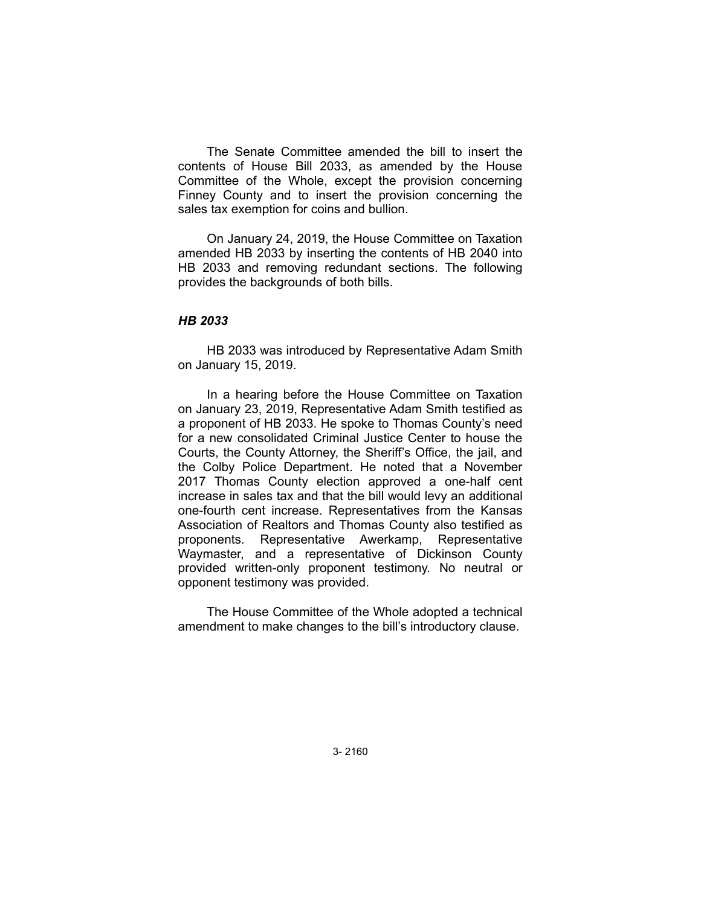The Senate Committee amended the bill to insert the contents of House Bill 2033, as amended by the House Committee of the Whole, except the provision concerning Finney County and to insert the provision concerning the sales tax exemption for coins and bullion.

On January 24, 2019, the House Committee on Taxation amended HB 2033 by inserting the contents of HB 2040 into HB 2033 and removing redundant sections. The following provides the backgrounds of both bills.

## *HB 2033*

HB 2033 was introduced by Representative Adam Smith on January 15, 2019.

In a hearing before the House Committee on Taxation on January 23, 2019, Representative Adam Smith testified as a proponent of HB 2033. He spoke to Thomas County's need for a new consolidated Criminal Justice Center to house the Courts, the County Attorney, the Sheriff's Office, the jail, and the Colby Police Department. He noted that a November 2017 Thomas County election approved a one-half cent increase in sales tax and that the bill would levy an additional one-fourth cent increase. Representatives from the Kansas Association of Realtors and Thomas County also testified as proponents. Representative Awerkamp, Representative Waymaster, and a representative of Dickinson County provided written-only proponent testimony. No neutral or opponent testimony was provided.

The House Committee of the Whole adopted a technical amendment to make changes to the bill's introductory clause.